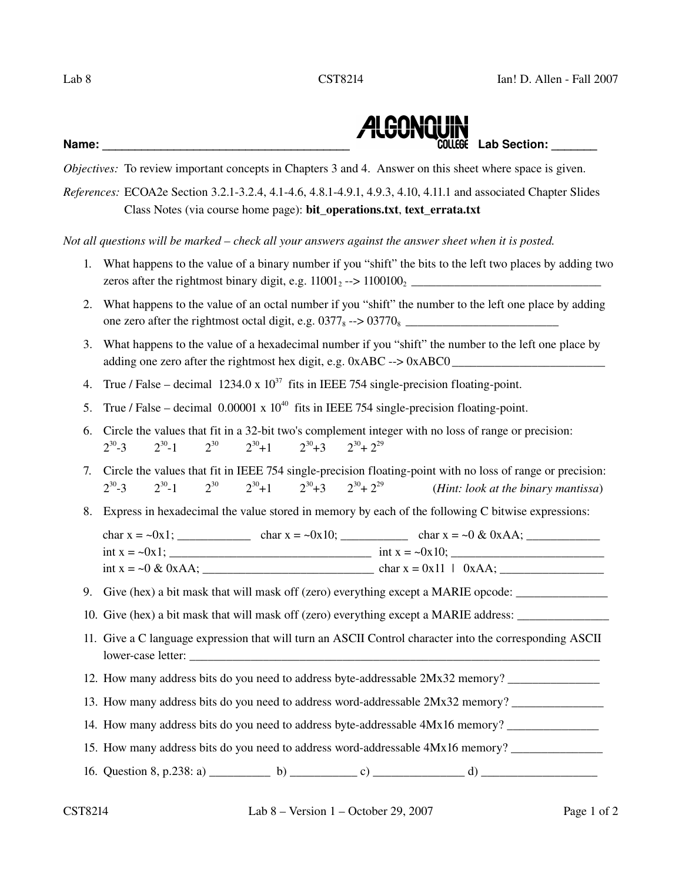

*Objectives:* To review important concepts in Chapters 3 and 4. Answer on this sheet where space is given.

*References:* ECOA2e Section 3.2.1-3.2.4, 4.1-4.6, 4.8.1-4.9.1, 4.9.3, 4.10, 4.11.1 and associated Chapter Slides Class Notes (via course home page): bit\_operations.txt, text\_errata.txt

*Not all questions will be marked – check all your answers against the answer sheet when it is posted.*

- 1. What happens to the value of a binary number if you "shift" the bits to the left two places by adding two zeros after the rightmost binary digit, e.g.  $11001<sub>2</sub> \rightarrow 1100100<sub>2</sub>$
- 2. What happens to the value of an octal number if you "shift" the number to the left one place by adding one zero after the rightmost octal digit, e.g. 03778 > 03770<sup>8</sup> \_\_\_\_\_\_\_\_\_\_\_\_\_\_\_\_\_\_\_\_\_\_\_\_\_
- 3. What happens to the value of a hexadecimal number if you "shift" the number to the left one place by adding one zero after the rightmost hex digit, e.g.  $0xABC \rightarrow 0xABC0$
- 4. True / False decimal  $1234.0 \times 10^{37}$  fits in IEEE 754 single-precision floating-point.
- 5. True / False decimal  $0.00001 \times 10^{40}$  fits in IEEE 754 single-precision floating-point.
- 6. Circle the values that fit in a 32-bit two's complement integer with no loss of range or precision: 2 30  $-3$   $2^{30}-1$  2  $2^{30}$  $2^{30}+1$  2  $2^{30}+3$  $^{30}$  +  $2^{29}$
- 7. Circle the values that fit in IEEE 754 single-precision floating-point with no loss of range or precision: 2 30  $-3$   $2^{30}-1$  2  $2^{30}$  $2^{30}+1$  2  $2^{30}+3$  $^{30}$  +  $2^{29}$ (*Hint: look at the binary mantissa*)
- 8. Express in hexadecimal the value stored in memory by each of the following C bitwise expressions:

char x = ~0x1; \_\_\_\_\_\_\_\_\_\_\_\_ char x = ~0x10; \_\_\_\_\_\_\_\_\_\_\_ char x = ~0 & 0xAA; \_\_\_\_\_\_\_\_\_\_\_\_ int x = ~0x1; \_\_\_\_\_\_\_\_\_\_\_\_\_\_\_\_\_\_\_\_\_\_\_\_\_\_\_\_\_\_\_\_\_ int x = ~0x10; \_\_\_\_\_\_\_\_\_\_\_\_\_\_\_\_\_\_\_\_\_\_\_\_\_ int x = ~0 & 0xAA; \_\_\_\_\_\_\_\_\_\_\_\_\_\_\_\_\_\_\_\_\_\_\_\_\_\_\_\_ char x = 0x11 | 0xAA; \_\_\_\_\_\_\_\_\_\_\_\_\_\_\_\_\_

9. Give (hex) a bit mask that will mask off (zero) everything except a MARIE opcode:

10. Give (hex) a bit mask that will mask off (zero) everything except a MARIE address: \_\_\_\_\_\_\_\_\_\_\_\_\_\_\_\_\_\_\_\_\_\_\_

- 11. Give a C language expression that will turn an ASCII Control character into the corresponding ASCII lower-case letter:
- 12. How many address bits do you need to address byteaddressable 2Mx32 memory? \_\_\_\_\_\_\_\_\_\_\_\_\_\_\_
- 13. How many address bits do you need to address wordaddressable 2Mx32 memory? \_\_\_\_\_\_\_\_\_\_\_\_\_\_\_
- 14. How many address bits do you need to address byteaddressable 4Mx16 memory? \_\_\_\_\_\_\_\_\_\_\_\_\_\_\_
- 15. How many address bits do you need to address word-addressable  $4Mx16$  memory?
- 16. Question 8, p.238: a) \_\_\_\_\_\_\_\_\_\_ b) \_\_\_\_\_\_\_\_\_\_\_ c) \_\_\_\_\_\_\_\_\_\_\_\_\_\_\_ d) \_\_\_\_\_\_\_\_\_\_\_\_\_\_\_\_\_\_\_